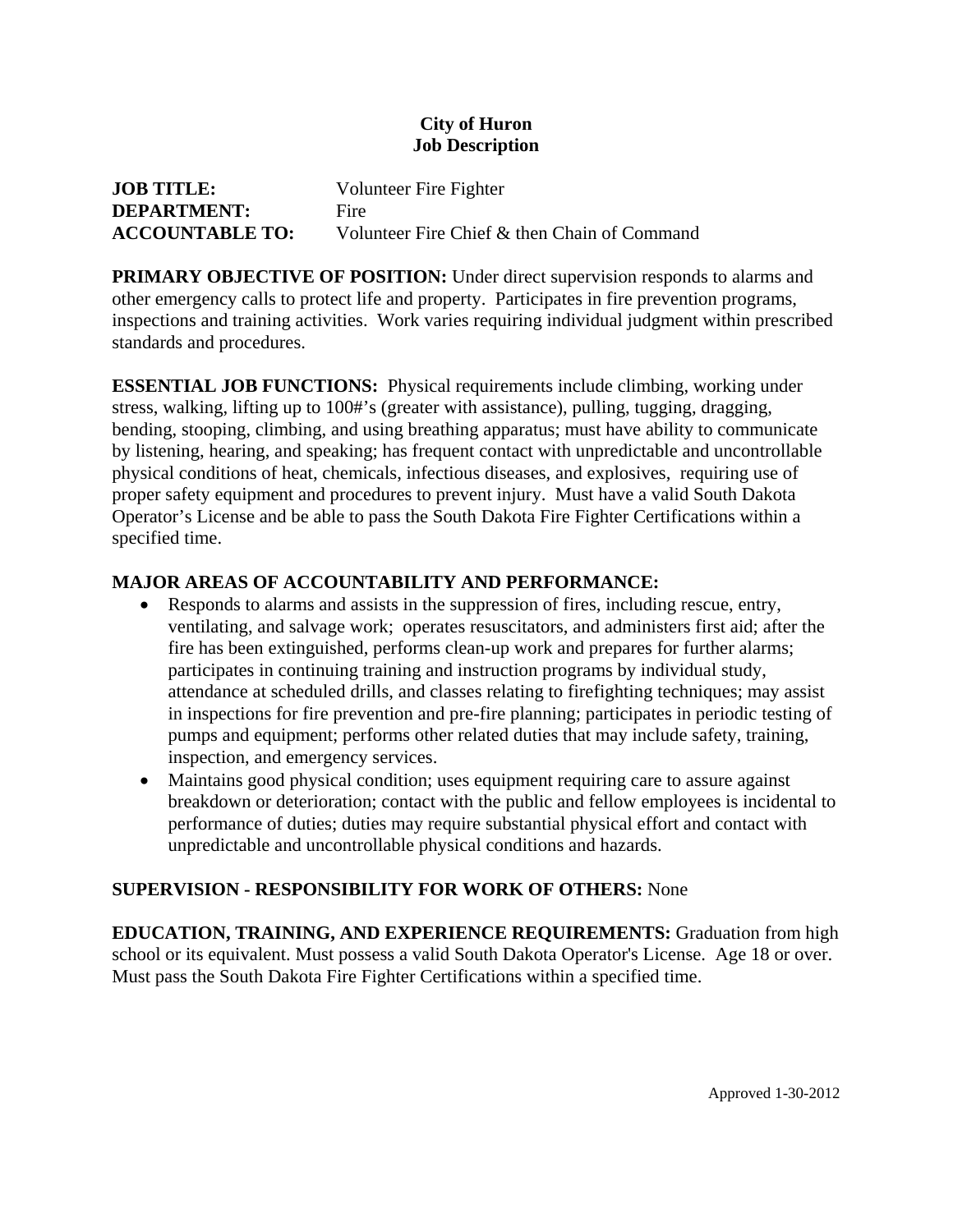#### **City of Huron Job Description**

| <b>JOB TITLE:</b>      | Volunteer Fire Fighter                       |
|------------------------|----------------------------------------------|
| <b>DEPARTMENT:</b>     | Fire                                         |
| <b>ACCOUNTABLE TO:</b> | Volunteer Fire Chief & then Chain of Command |

**PRIMARY OBJECTIVE OF POSITION:** Under direct supervision responds to alarms and other emergency calls to protect life and property. Participates in fire prevention programs, inspections and training activities. Work varies requiring individual judgment within prescribed standards and procedures.

**ESSENTIAL JOB FUNCTIONS:** Physical requirements include climbing, working under stress, walking, lifting up to 100#'s (greater with assistance), pulling, tugging, dragging, bending, stooping, climbing, and using breathing apparatus; must have ability to communicate by listening, hearing, and speaking; has frequent contact with unpredictable and uncontrollable physical conditions of heat, chemicals, infectious diseases, and explosives, requiring use of proper safety equipment and procedures to prevent injury. Must have a valid South Dakota Operator's License and be able to pass the South Dakota Fire Fighter Certifications within a specified time.

# **MAJOR AREAS OF ACCOUNTABILITY AND PERFORMANCE:**

- Responds to alarms and assists in the suppression of fires, including rescue, entry, ventilating, and salvage work; operates resuscitators, and administers first aid; after the fire has been extinguished, performs clean-up work and prepares for further alarms; participates in continuing training and instruction programs by individual study, attendance at scheduled drills, and classes relating to firefighting techniques; may assist in inspections for fire prevention and pre-fire planning; participates in periodic testing of pumps and equipment; performs other related duties that may include safety, training, inspection, and emergency services.
- Maintains good physical condition; uses equipment requiring care to assure against breakdown or deterioration; contact with the public and fellow employees is incidental to performance of duties; duties may require substantial physical effort and contact with unpredictable and uncontrollable physical conditions and hazards.

# **SUPERVISION - RESPONSIBILITY FOR WORK OF OTHERS:** None

**EDUCATION, TRAINING, AND EXPERIENCE REQUIREMENTS:** Graduation from high school or its equivalent. Must possess a valid South Dakota Operator's License. Age 18 or over. Must pass the South Dakota Fire Fighter Certifications within a specified time.